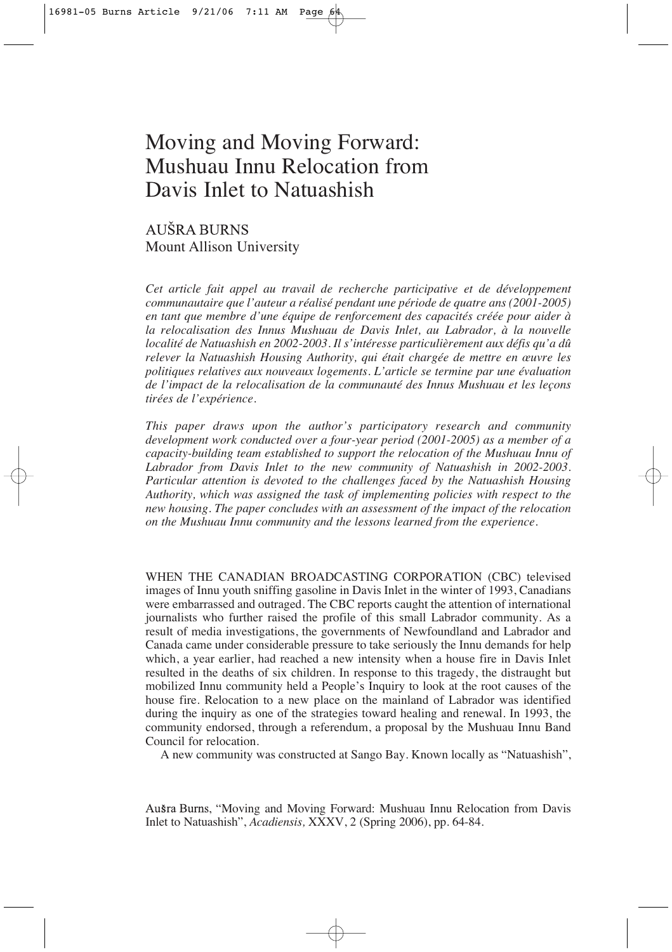# Moving and Moving Forward: Mushuau Innu Relocation from Davis Inlet to Natuashish

AUŠRA BURNS Mount Allison University

*Cet article fait appel au travail de recherche participative et de développement communautaire que l'auteur a réalisé pendant une période de quatre ans (2001-2005) en tant que membre d'une équipe de renforcement des capacités créée pour aider à la relocalisation des Innus Mushuau de Davis Inlet, au Labrador, à la nouvelle localité de Natuashish en 2002-2003. Il s'intéresse particulièrement aux défis qu'a dû relever la Natuashish Housing Authority, qui était chargée de mettre en œuvre les politiques relatives aux nouveaux logements. L'article se termine par une évaluation de l'impact de la relocalisation de la communauté des Innus Mushuau et les leçons tirées de l'expérience.*

*This paper draws upon the author's participatory research and community development work conducted over a four-year period (2001-2005) as a member of a capacity-building team established to support the relocation of the Mushuau Innu of Labrador from Davis Inlet to the new community of Natuashish in 2002-2003. Particular attention is devoted to the challenges faced by the Natuashish Housing Authority, which was assigned the task of implementing policies with respect to the new housing. The paper concludes with an assessment of the impact of the relocation on the Mushuau Innu community and the lessons learned from the experience.*

WHEN THE CANADIAN BROADCASTING CORPORATION (CBC) televised images of Innu youth sniffing gasoline in Davis Inlet in the winter of 1993, Canadians were embarrassed and outraged. The CBC reports caught the attention of international journalists who further raised the profile of this small Labrador community. As a result of media investigations, the governments of Newfoundland and Labrador and Canada came under considerable pressure to take seriously the Innu demands for help which, a year earlier, had reached a new intensity when a house fire in Davis Inlet resulted in the deaths of six children. In response to this tragedy, the distraught but mobilized Innu community held a People's Inquiry to look at the root causes of the house fire. Relocation to a new place on the mainland of Labrador was identified during the inquiry as one of the strategies toward healing and renewal. In 1993, the community endorsed, through a referendum, a proposal by the Mushuau Innu Band Council for relocation.

A new community was constructed at Sango Bay. Known locally as "Natuashish",

Ausra Burns, "Moving and Moving Forward: Mushuau Innu Relocation from Davis Inlet to Natuashish", *Acadiensis,* XXXV, 2 (Spring 2006), pp. 64-84.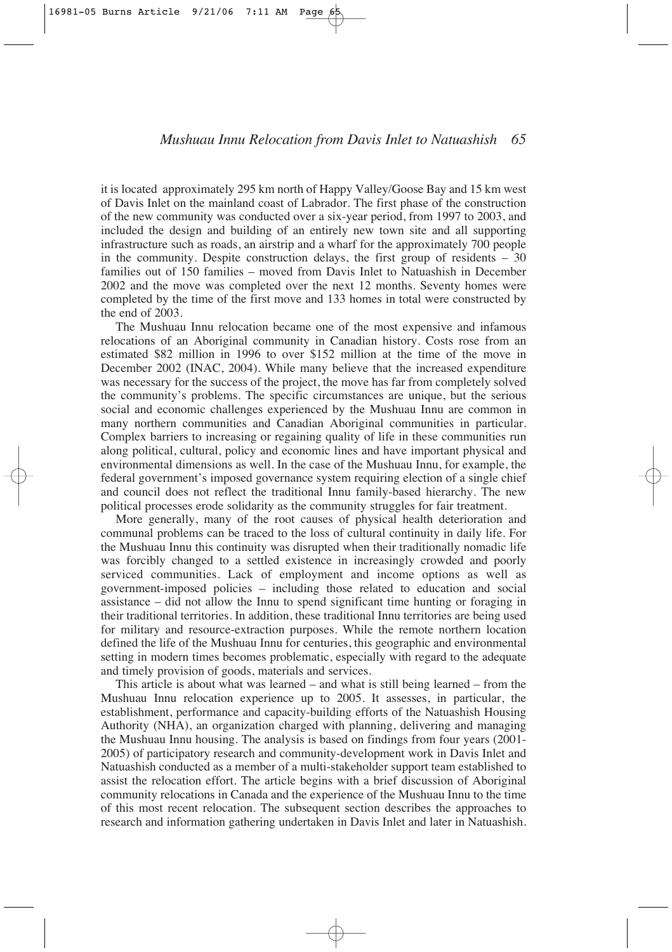it is located approximately 295 km north of Happy Valley/Goose Bay and 15 km west of Davis Inlet on the mainland coast of Labrador. The first phase of the construction of the new community was conducted over a six-year period, from 1997 to 2003, and included the design and building of an entirely new town site and all supporting infrastructure such as roads, an airstrip and a wharf for the approximately 700 people in the community. Despite construction delays, the first group of residents  $-30$ families out of 150 families – moved from Davis Inlet to Natuashish in December 2002 and the move was completed over the next 12 months. Seventy homes were completed by the time of the first move and 133 homes in total were constructed by the end of 2003.

The Mushuau Innu relocation became one of the most expensive and infamous relocations of an Aboriginal community in Canadian history. Costs rose from an estimated \$82 million in 1996 to over \$152 million at the time of the move in December 2002 (INAC, 2004). While many believe that the increased expenditure was necessary for the success of the project, the move has far from completely solved the community's problems. The specific circumstances are unique, but the serious social and economic challenges experienced by the Mushuau Innu are common in many northern communities and Canadian Aboriginal communities in particular. Complex barriers to increasing or regaining quality of life in these communities run along political, cultural, policy and economic lines and have important physical and environmental dimensions as well. In the case of the Mushuau Innu, for example, the federal government's imposed governance system requiring election of a single chief and council does not reflect the traditional Innu family-based hierarchy. The new political processes erode solidarity as the community struggles for fair treatment.

More generally, many of the root causes of physical health deterioration and communal problems can be traced to the loss of cultural continuity in daily life. For the Mushuau Innu this continuity was disrupted when their traditionally nomadic life was forcibly changed to a settled existence in increasingly crowded and poorly serviced communities. Lack of employment and income options as well as government-imposed policies – including those related to education and social assistance – did not allow the Innu to spend significant time hunting or foraging in their traditional territories. In addition, these traditional Innu territories are being used for military and resource-extraction purposes. While the remote northern location defined the life of the Mushuau Innu for centuries, this geographic and environmental setting in modern times becomes problematic, especially with regard to the adequate and timely provision of goods, materials and services.

This article is about what was learned – and what is still being learned – from the Mushuau Innu relocation experience up to 2005. It assesses, in particular, the establishment, performance and capacity-building efforts of the Natuashish Housing Authority (NHA), an organization charged with planning, delivering and managing the Mushuau Innu housing. The analysis is based on findings from four years (2001- 2005) of participatory research and community-development work in Davis Inlet and Natuashish conducted as a member of a multi-stakeholder support team established to assist the relocation effort. The article begins with a brief discussion of Aboriginal community relocations in Canada and the experience of the Mushuau Innu to the time of this most recent relocation. The subsequent section describes the approaches to research and information gathering undertaken in Davis Inlet and later in Natuashish.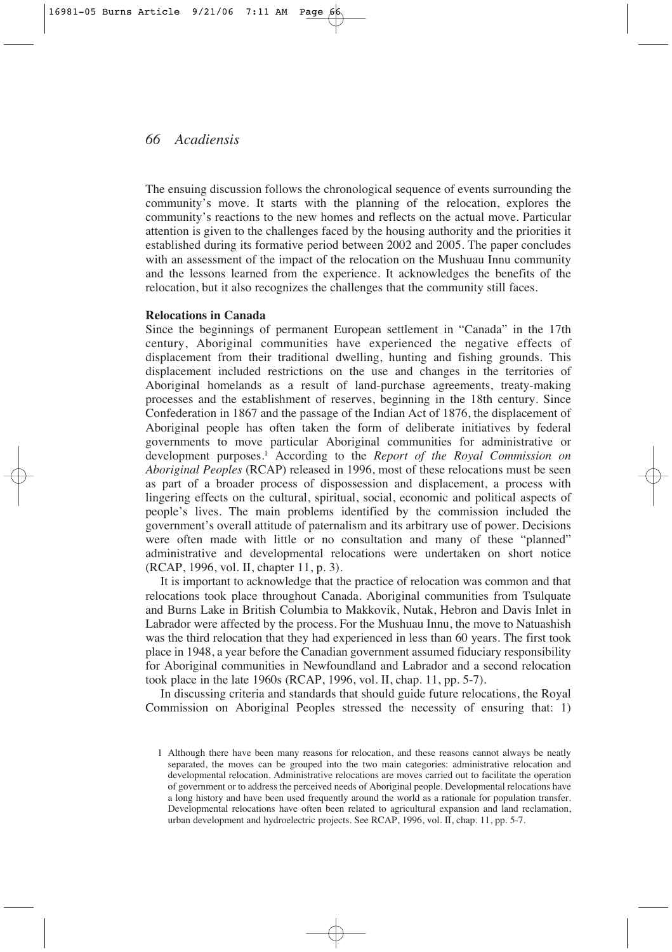The ensuing discussion follows the chronological sequence of events surrounding the community's move. It starts with the planning of the relocation, explores the community's reactions to the new homes and reflects on the actual move. Particular attention is given to the challenges faced by the housing authority and the priorities it established during its formative period between 2002 and 2005. The paper concludes with an assessment of the impact of the relocation on the Mushuau Innu community and the lessons learned from the experience. It acknowledges the benefits of the relocation, but it also recognizes the challenges that the community still faces.

#### **Relocations in Canada**

Since the beginnings of permanent European settlement in "Canada" in the 17th century, Aboriginal communities have experienced the negative effects of displacement from their traditional dwelling, hunting and fishing grounds. This displacement included restrictions on the use and changes in the territories of Aboriginal homelands as a result of land-purchase agreements, treaty-making processes and the establishment of reserves, beginning in the 18th century. Since Confederation in 1867 and the passage of the Indian Act of 1876, the displacement of Aboriginal people has often taken the form of deliberate initiatives by federal governments to move particular Aboriginal communities for administrative or development purposes.1 According to the *Report of the Royal Commission on Aboriginal Peoples* (RCAP) released in 1996, most of these relocations must be seen as part of a broader process of dispossession and displacement, a process with lingering effects on the cultural, spiritual, social, economic and political aspects of people's lives. The main problems identified by the commission included the government's overall attitude of paternalism and its arbitrary use of power. Decisions were often made with little or no consultation and many of these "planned" administrative and developmental relocations were undertaken on short notice (RCAP, 1996, vol. II, chapter 11, p. 3).

It is important to acknowledge that the practice of relocation was common and that relocations took place throughout Canada. Aboriginal communities from Tsulquate and Burns Lake in British Columbia to Makkovik, Nutak, Hebron and Davis Inlet in Labrador were affected by the process. For the Mushuau Innu, the move to Natuashish was the third relocation that they had experienced in less than 60 years. The first took place in 1948, a year before the Canadian government assumed fiduciary responsibility for Aboriginal communities in Newfoundland and Labrador and a second relocation took place in the late 1960s (RCAP, 1996, vol. II, chap. 11, pp. 5-7).

In discussing criteria and standards that should guide future relocations, the Royal Commission on Aboriginal Peoples stressed the necessity of ensuring that: 1)

<sup>1</sup> Although there have been many reasons for relocation, and these reasons cannot always be neatly separated, the moves can be grouped into the two main categories: administrative relocation and developmental relocation. Administrative relocations are moves carried out to facilitate the operation of government or to address the perceived needs of Aboriginal people. Developmental relocations have a long history and have been used frequently around the world as a rationale for population transfer. Developmental relocations have often been related to agricultural expansion and land reclamation, urban development and hydroelectric projects. See RCAP, 1996, vol. II, chap. 11, pp. 5-7.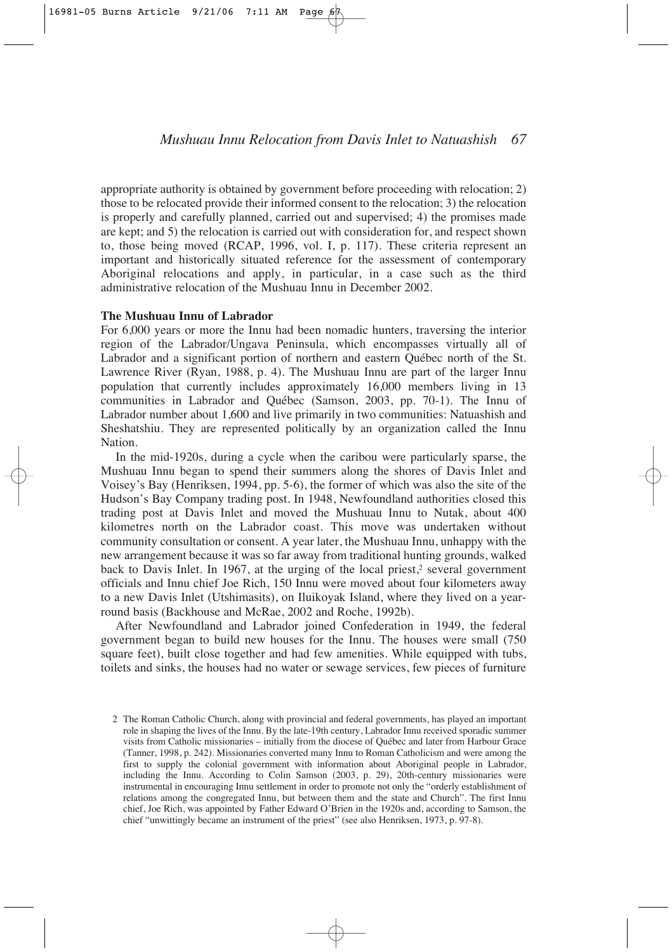appropriate authority is obtained by government before proceeding with relocation; 2) those to be relocated provide their informed consent to the relocation; 3) the relocation is properly and carefully planned, carried out and supervised; 4) the promises made are kept; and 5) the relocation is carried out with consideration for, and respect shown to, those being moved (RCAP, 1996, vol. I, p. 117). These criteria represent an important and historically situated reference for the assessment of contemporary Aboriginal relocations and apply, in particular, in a case such as the third administrative relocation of the Mushuau Innu in December 2002.

#### **The Mushuau Innu of Labrador**

For 6,000 years or more the Innu had been nomadic hunters, traversing the interior region of the Labrador/Ungava Peninsula, which encompasses virtually all of Labrador and a significant portion of northern and eastern Québec north of the St. Lawrence River (Ryan, 1988, p. 4). The Mushuau Innu are part of the larger Innu population that currently includes approximately 16,000 members living in 13 communities in Labrador and Québec (Samson, 2003, pp. 70-1). The Innu of Labrador number about 1,600 and live primarily in two communities: Natuashish and Sheshatshiu. They are represented politically by an organization called the Innu Nation.

In the mid-1920s, during a cycle when the caribou were particularly sparse, the Mushuau Innu began to spend their summers along the shores of Davis Inlet and Voisey's Bay (Henriksen, 1994, pp. 5-6), the former of which was also the site of the Hudson's Bay Company trading post. In 1948, Newfoundland authorities closed this trading post at Davis Inlet and moved the Mushuau Innu to Nutak, about 400 kilometres north on the Labrador coast. This move was undertaken without community consultation or consent. A year later, the Mushuau Innu, unhappy with the new arrangement because it was so far away from traditional hunting grounds, walked back to Davis Inlet. In 1967, at the urging of the local priest, $\epsilon$  several government officials and Innu chief Joe Rich, 150 Innu were moved about four kilometers away to a new Davis Inlet (Utshimasits), on Iluikoyak Island, where they lived on a yearround basis (Backhouse and McRae, 2002 and Roche, 1992b).

After Newfoundland and Labrador joined Confederation in 1949, the federal government began to build new houses for the Innu. The houses were small (750 square feet), built close together and had few amenities. While equipped with tubs, toilets and sinks, the houses had no water or sewage services, few pieces of furniture

<sup>2</sup> The Roman Catholic Church, along with provincial and federal governments, has played an important role in shaping the lives of the Innu. By the late-19th century, Labrador Innu received sporadic summer visits from Catholic missionaries – initially from the diocese of Québec and later from Harbour Grace (Tanner, 1998, p. 242). Missionaries converted many Innu to Roman Catholicism and were among the first to supply the colonial government with information about Aboriginal people in Labrador, including the Innu. According to Colin Samson (2003, p. 29), 20th-century missionaries were instrumental in encouraging Innu settlement in order to promote not only the "orderly establishment of relations among the congregated Innu, but between them and the state and Church". The first Innu chief, Joe Rich, was appointed by Father Edward O'Brien in the 1920s and, according to Samson, the chief "unwittingly became an instrument of the priest" (see also Henriksen, 1973, p. 97-8).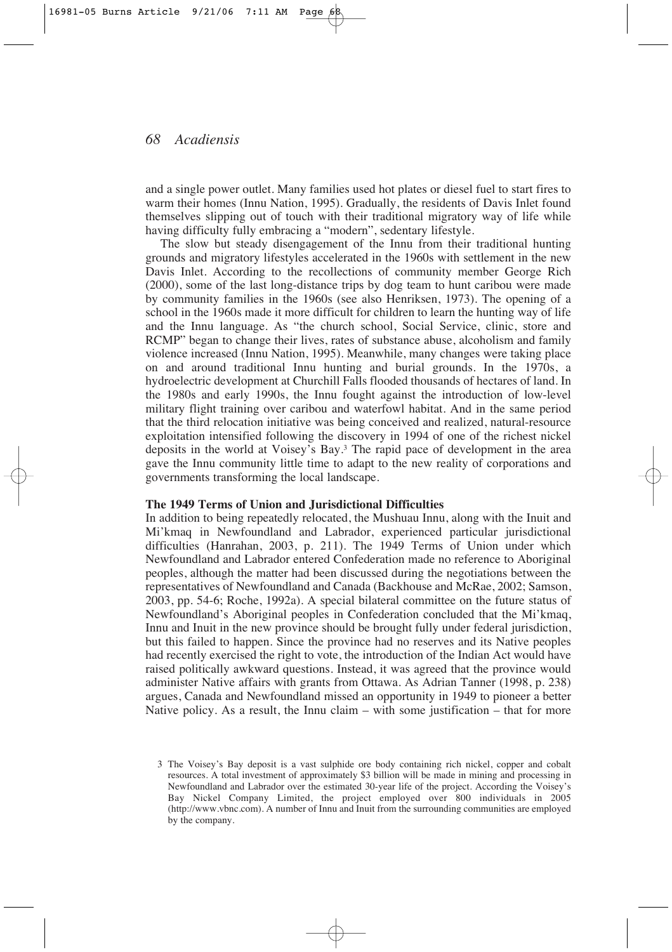and a single power outlet. Many families used hot plates or diesel fuel to start fires to warm their homes (Innu Nation, 1995). Gradually, the residents of Davis Inlet found themselves slipping out of touch with their traditional migratory way of life while having difficulty fully embracing a "modern", sedentary lifestyle.

The slow but steady disengagement of the Innu from their traditional hunting grounds and migratory lifestyles accelerated in the 1960s with settlement in the new Davis Inlet. According to the recollections of community member George Rich (2000), some of the last long-distance trips by dog team to hunt caribou were made by community families in the 1960s (see also Henriksen, 1973). The opening of a school in the 1960s made it more difficult for children to learn the hunting way of life and the Innu language. As "the church school, Social Service, clinic, store and RCMP" began to change their lives, rates of substance abuse, alcoholism and family violence increased (Innu Nation, 1995). Meanwhile, many changes were taking place on and around traditional Innu hunting and burial grounds. In the 1970s, a hydroelectric development at Churchill Falls flooded thousands of hectares of land. In the 1980s and early 1990s, the Innu fought against the introduction of low-level military flight training over caribou and waterfowl habitat. And in the same period that the third relocation initiative was being conceived and realized, natural-resource exploitation intensified following the discovery in 1994 of one of the richest nickel deposits in the world at Voisey's Bay.3 The rapid pace of development in the area gave the Innu community little time to adapt to the new reality of corporations and governments transforming the local landscape.

#### **The 1949 Terms of Union and Jurisdictional Difficulties**

In addition to being repeatedly relocated, the Mushuau Innu, along with the Inuit and Mi'kmaq in Newfoundland and Labrador, experienced particular jurisdictional difficulties (Hanrahan, 2003, p. 211). The 1949 Terms of Union under which Newfoundland and Labrador entered Confederation made no reference to Aboriginal peoples, although the matter had been discussed during the negotiations between the representatives of Newfoundland and Canada (Backhouse and McRae, 2002; Samson, 2003, pp. 54-6; Roche, 1992a). A special bilateral committee on the future status of Newfoundland's Aboriginal peoples in Confederation concluded that the Mi'kmaq, Innu and Inuit in the new province should be brought fully under federal jurisdiction, but this failed to happen. Since the province had no reserves and its Native peoples had recently exercised the right to vote, the introduction of the Indian Act would have raised politically awkward questions. Instead, it was agreed that the province would administer Native affairs with grants from Ottawa. As Adrian Tanner (1998, p. 238) argues, Canada and Newfoundland missed an opportunity in 1949 to pioneer a better Native policy. As a result, the Innu claim – with some justification – that for more

<sup>3</sup> The Voisey's Bay deposit is a vast sulphide ore body containing rich nickel, copper and cobalt resources. A total investment of approximately \$3 billion will be made in mining and processing in Newfoundland and Labrador over the estimated 30-year life of the project. According the Voisey's Bay Nickel Company Limited, the project employed over 800 individuals in 2005 (http://www.vbnc.com). A number of Innu and Inuit from the surrounding communities are employed by the company.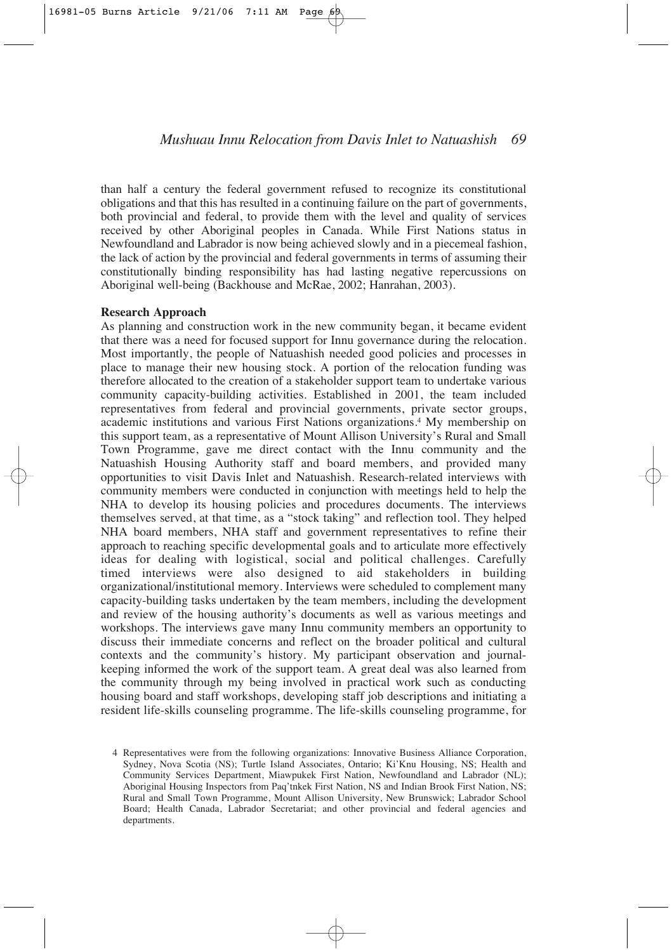than half a century the federal government refused to recognize its constitutional obligations and that this has resulted in a continuing failure on the part of governments, both provincial and federal, to provide them with the level and quality of services received by other Aboriginal peoples in Canada. While First Nations status in Newfoundland and Labrador is now being achieved slowly and in a piecemeal fashion, the lack of action by the provincial and federal governments in terms of assuming their constitutionally binding responsibility has had lasting negative repercussions on Aboriginal well-being (Backhouse and McRae, 2002; Hanrahan, 2003).

#### **Research Approach**

As planning and construction work in the new community began, it became evident that there was a need for focused support for Innu governance during the relocation. Most importantly, the people of Natuashish needed good policies and processes in place to manage their new housing stock. A portion of the relocation funding was therefore allocated to the creation of a stakeholder support team to undertake various community capacity-building activities. Established in 2001, the team included representatives from federal and provincial governments, private sector groups, academic institutions and various First Nations organizations.4 My membership on this support team, as a representative of Mount Allison University's Rural and Small Town Programme, gave me direct contact with the Innu community and the Natuashish Housing Authority staff and board members, and provided many opportunities to visit Davis Inlet and Natuashish. Research-related interviews with community members were conducted in conjunction with meetings held to help the NHA to develop its housing policies and procedures documents. The interviews themselves served, at that time, as a "stock taking" and reflection tool. They helped NHA board members, NHA staff and government representatives to refine their approach to reaching specific developmental goals and to articulate more effectively ideas for dealing with logistical, social and political challenges. Carefully timed interviews were also designed to aid stakeholders in building organizational/institutional memory. Interviews were scheduled to complement many capacity-building tasks undertaken by the team members, including the development and review of the housing authority's documents as well as various meetings and workshops. The interviews gave many Innu community members an opportunity to discuss their immediate concerns and reflect on the broader political and cultural contexts and the community's history. My participant observation and journalkeeping informed the work of the support team. A great deal was also learned from the community through my being involved in practical work such as conducting housing board and staff workshops, developing staff job descriptions and initiating a resident life-skills counseling programme. The life-skills counseling programme, for

<sup>4</sup> Representatives were from the following organizations: Innovative Business Alliance Corporation, Sydney, Nova Scotia (NS); Turtle Island Associates, Ontario; Ki'Knu Housing, NS; Health and Community Services Department, Miawpukek First Nation, Newfoundland and Labrador (NL); Aboriginal Housing Inspectors from Paq'tnkek First Nation, NS and Indian Brook First Nation, NS; Rural and Small Town Programme, Mount Allison University, New Brunswick; Labrador School Board; Health Canada, Labrador Secretariat; and other provincial and federal agencies and departments.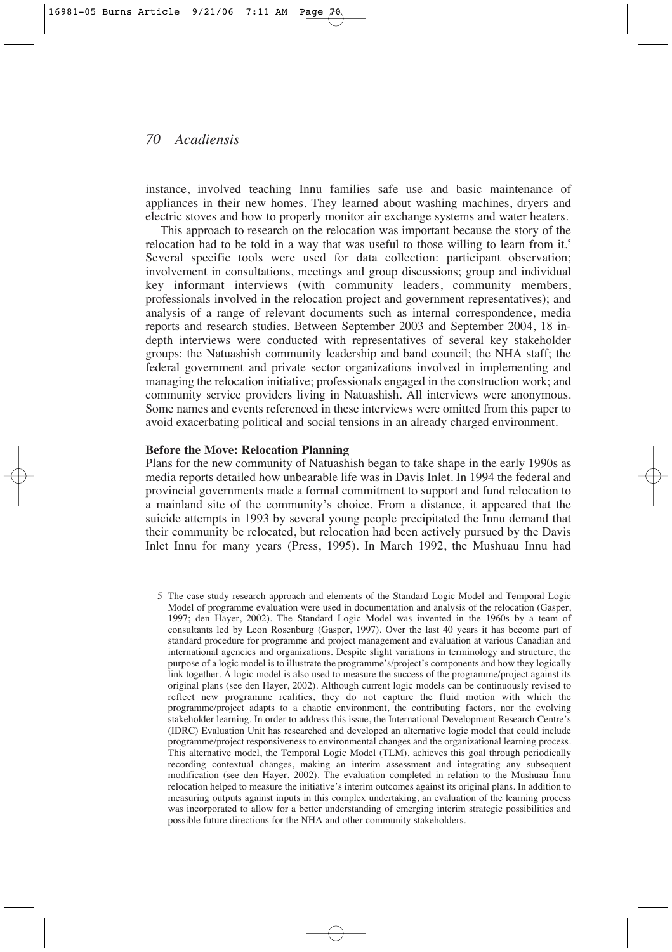instance, involved teaching Innu families safe use and basic maintenance of appliances in their new homes. They learned about washing machines, dryers and electric stoves and how to properly monitor air exchange systems and water heaters.

This approach to research on the relocation was important because the story of the relocation had to be told in a way that was useful to those willing to learn from it.<sup>5</sup> Several specific tools were used for data collection: participant observation; involvement in consultations, meetings and group discussions; group and individual key informant interviews (with community leaders, community members, professionals involved in the relocation project and government representatives); and analysis of a range of relevant documents such as internal correspondence, media reports and research studies. Between September 2003 and September 2004, 18 indepth interviews were conducted with representatives of several key stakeholder groups: the Natuashish community leadership and band council; the NHA staff; the federal government and private sector organizations involved in implementing and managing the relocation initiative; professionals engaged in the construction work; and community service providers living in Natuashish. All interviews were anonymous. Some names and events referenced in these interviews were omitted from this paper to avoid exacerbating political and social tensions in an already charged environment.

## **Before the Move: Relocation Planning**

Plans for the new community of Natuashish began to take shape in the early 1990s as media reports detailed how unbearable life was in Davis Inlet. In 1994 the federal and provincial governments made a formal commitment to support and fund relocation to a mainland site of the community's choice. From a distance, it appeared that the suicide attempts in 1993 by several young people precipitated the Innu demand that their community be relocated, but relocation had been actively pursued by the Davis Inlet Innu for many years (Press, 1995). In March 1992, the Mushuau Innu had

5 The case study research approach and elements of the Standard Logic Model and Temporal Logic Model of programme evaluation were used in documentation and analysis of the relocation (Gasper, 1997; den Hayer, 2002). The Standard Logic Model was invented in the 1960s by a team of consultants led by Leon Rosenburg (Gasper, 1997). Over the last 40 years it has become part of standard procedure for programme and project management and evaluation at various Canadian and international agencies and organizations. Despite slight variations in terminology and structure, the purpose of a logic model is to illustrate the programme's/project's components and how they logically link together. A logic model is also used to measure the success of the programme/project against its original plans (see den Hayer, 2002). Although current logic models can be continuously revised to reflect new programme realities, they do not capture the fluid motion with which the programme/project adapts to a chaotic environment, the contributing factors, nor the evolving stakeholder learning. In order to address this issue, the International Development Research Centre's (IDRC) Evaluation Unit has researched and developed an alternative logic model that could include programme/project responsiveness to environmental changes and the organizational learning process. This alternative model, the Temporal Logic Model (TLM), achieves this goal through periodically recording contextual changes, making an interim assessment and integrating any subsequent modification (see den Hayer, 2002). The evaluation completed in relation to the Mushuau Innu relocation helped to measure the initiative's interim outcomes against its original plans. In addition to measuring outputs against inputs in this complex undertaking, an evaluation of the learning process was incorporated to allow for a better understanding of emerging interim strategic possibilities and possible future directions for the NHA and other community stakeholders.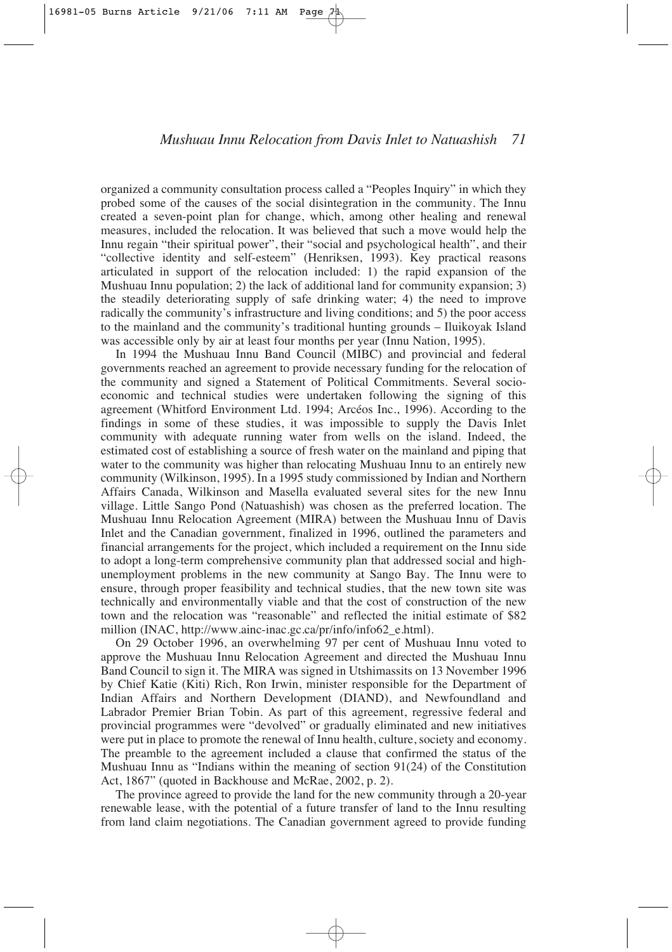organized a community consultation process called a "Peoples Inquiry" in which they probed some of the causes of the social disintegration in the community. The Innu created a seven-point plan for change, which, among other healing and renewal measures, included the relocation. It was believed that such a move would help the Innu regain "their spiritual power", their "social and psychological health", and their "collective identity and self-esteem" (Henriksen, 1993). Key practical reasons articulated in support of the relocation included: 1) the rapid expansion of the Mushuau Innu population; 2) the lack of additional land for community expansion; 3) the steadily deteriorating supply of safe drinking water; 4) the need to improve radically the community's infrastructure and living conditions; and 5) the poor access to the mainland and the community's traditional hunting grounds – Iluikoyak Island was accessible only by air at least four months per year (Innu Nation, 1995).

In 1994 the Mushuau Innu Band Council (MIBC) and provincial and federal governments reached an agreement to provide necessary funding for the relocation of the community and signed a Statement of Political Commitments. Several socioeconomic and technical studies were undertaken following the signing of this agreement (Whitford Environment Ltd. 1994; Arcéos Inc., 1996). According to the findings in some of these studies, it was impossible to supply the Davis Inlet community with adequate running water from wells on the island. Indeed, the estimated cost of establishing a source of fresh water on the mainland and piping that water to the community was higher than relocating Mushuau Innu to an entirely new community (Wilkinson, 1995). In a 1995 study commissioned by Indian and Northern Affairs Canada, Wilkinson and Masella evaluated several sites for the new Innu village. Little Sango Pond (Natuashish) was chosen as the preferred location. The Mushuau Innu Relocation Agreement (MIRA) between the Mushuau Innu of Davis Inlet and the Canadian government, finalized in 1996, outlined the parameters and financial arrangements for the project, which included a requirement on the Innu side to adopt a long-term comprehensive community plan that addressed social and highunemployment problems in the new community at Sango Bay. The Innu were to ensure, through proper feasibility and technical studies, that the new town site was technically and environmentally viable and that the cost of construction of the new town and the relocation was "reasonable" and reflected the initial estimate of \$82 million (INAC, http://www.ainc-inac.gc.ca/pr/info/info62\_e.html).

On 29 October 1996, an overwhelming 97 per cent of Mushuau Innu voted to approve the Mushuau Innu Relocation Agreement and directed the Mushuau Innu Band Council to sign it. The MIRA was signed in Utshimassits on 13 November 1996 by Chief Katie (Kiti) Rich, Ron Irwin, minister responsible for the Department of Indian Affairs and Northern Development (DIAND), and Newfoundland and Labrador Premier Brian Tobin. As part of this agreement, regressive federal and provincial programmes were "devolved" or gradually eliminated and new initiatives were put in place to promote the renewal of Innu health, culture, society and economy. The preamble to the agreement included a clause that confirmed the status of the Mushuau Innu as "Indians within the meaning of section 91(24) of the Constitution Act, 1867" (quoted in Backhouse and McRae, 2002, p. 2).

The province agreed to provide the land for the new community through a 20-year renewable lease, with the potential of a future transfer of land to the Innu resulting from land claim negotiations. The Canadian government agreed to provide funding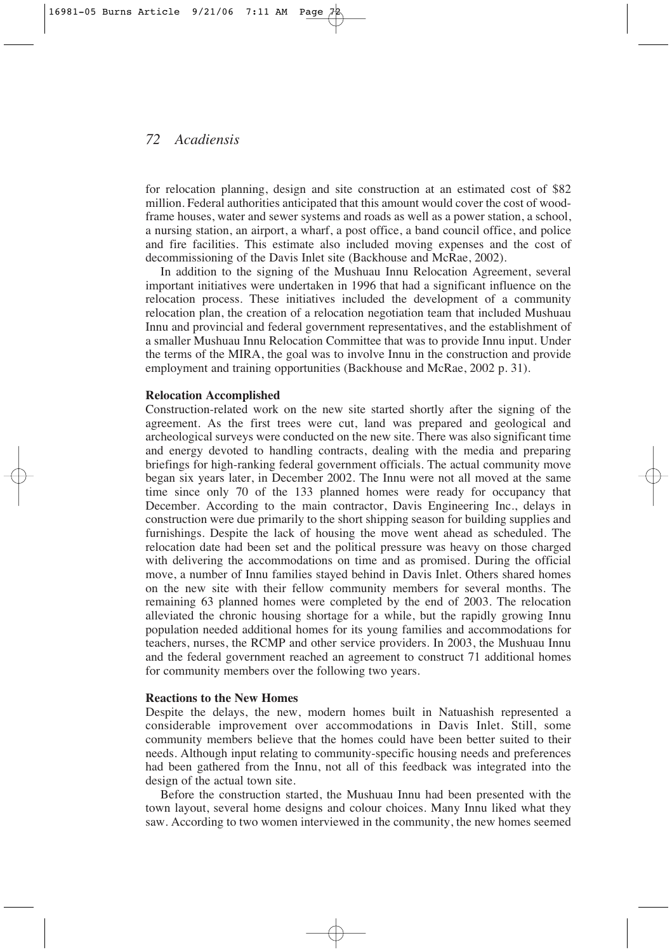for relocation planning, design and site construction at an estimated cost of \$82 million. Federal authorities anticipated that this amount would cover the cost of woodframe houses, water and sewer systems and roads as well as a power station, a school, a nursing station, an airport, a wharf, a post office, a band council office, and police and fire facilities. This estimate also included moving expenses and the cost of decommissioning of the Davis Inlet site (Backhouse and McRae, 2002).

In addition to the signing of the Mushuau Innu Relocation Agreement, several important initiatives were undertaken in 1996 that had a significant influence on the relocation process. These initiatives included the development of a community relocation plan, the creation of a relocation negotiation team that included Mushuau Innu and provincial and federal government representatives, and the establishment of a smaller Mushuau Innu Relocation Committee that was to provide Innu input. Under the terms of the MIRA, the goal was to involve Innu in the construction and provide employment and training opportunities (Backhouse and McRae, 2002 p. 31).

#### **Relocation Accomplished**

Construction-related work on the new site started shortly after the signing of the agreement. As the first trees were cut, land was prepared and geological and archeological surveys were conducted on the new site. There was also significant time and energy devoted to handling contracts, dealing with the media and preparing briefings for high-ranking federal government officials. The actual community move began six years later, in December 2002. The Innu were not all moved at the same time since only 70 of the 133 planned homes were ready for occupancy that December. According to the main contractor, Davis Engineering Inc., delays in construction were due primarily to the short shipping season for building supplies and furnishings. Despite the lack of housing the move went ahead as scheduled. The relocation date had been set and the political pressure was heavy on those charged with delivering the accommodations on time and as promised. During the official move, a number of Innu families stayed behind in Davis Inlet. Others shared homes on the new site with their fellow community members for several months. The remaining 63 planned homes were completed by the end of 2003. The relocation alleviated the chronic housing shortage for a while, but the rapidly growing Innu population needed additional homes for its young families and accommodations for teachers, nurses, the RCMP and other service providers. In 2003, the Mushuau Innu and the federal government reached an agreement to construct 71 additional homes for community members over the following two years.

#### **Reactions to the New Homes**

Despite the delays, the new, modern homes built in Natuashish represented a considerable improvement over accommodations in Davis Inlet. Still, some community members believe that the homes could have been better suited to their needs. Although input relating to community-specific housing needs and preferences had been gathered from the Innu, not all of this feedback was integrated into the design of the actual town site.

Before the construction started, the Mushuau Innu had been presented with the town layout, several home designs and colour choices. Many Innu liked what they saw. According to two women interviewed in the community, the new homes seemed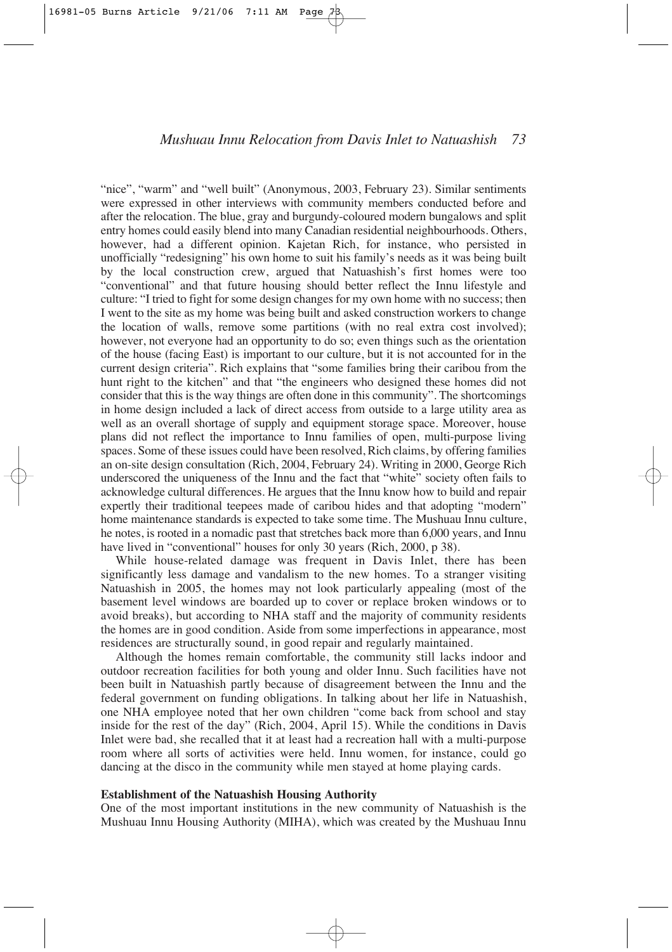"nice", "warm" and "well built" (Anonymous, 2003, February 23). Similar sentiments were expressed in other interviews with community members conducted before and after the relocation. The blue, gray and burgundy-coloured modern bungalows and split entry homes could easily blend into many Canadian residential neighbourhoods. Others, however, had a different opinion. Kajetan Rich, for instance, who persisted in unofficially "redesigning" his own home to suit his family's needs as it was being built by the local construction crew, argued that Natuashish's first homes were too "conventional" and that future housing should better reflect the Innu lifestyle and culture: "I tried to fight for some design changes for my own home with no success; then I went to the site as my home was being built and asked construction workers to change the location of walls, remove some partitions (with no real extra cost involved); however, not everyone had an opportunity to do so; even things such as the orientation of the house (facing East) is important to our culture, but it is not accounted for in the current design criteria". Rich explains that "some families bring their caribou from the hunt right to the kitchen" and that "the engineers who designed these homes did not consider that this is the way things are often done in this community". The shortcomings in home design included a lack of direct access from outside to a large utility area as well as an overall shortage of supply and equipment storage space. Moreover, house plans did not reflect the importance to Innu families of open, multi-purpose living spaces. Some of these issues could have been resolved, Rich claims, by offering families an on-site design consultation (Rich, 2004, February 24). Writing in 2000, George Rich underscored the uniqueness of the Innu and the fact that "white" society often fails to acknowledge cultural differences. He argues that the Innu know how to build and repair expertly their traditional teepees made of caribou hides and that adopting "modern" home maintenance standards is expected to take some time. The Mushuau Innu culture, he notes, is rooted in a nomadic past that stretches back more than 6,000 years, and Innu have lived in "conventional" houses for only 30 years (Rich, 2000, p 38).

While house-related damage was frequent in Davis Inlet, there has been significantly less damage and vandalism to the new homes. To a stranger visiting Natuashish in 2005, the homes may not look particularly appealing (most of the basement level windows are boarded up to cover or replace broken windows or to avoid breaks), but according to NHA staff and the majority of community residents the homes are in good condition. Aside from some imperfections in appearance, most residences are structurally sound, in good repair and regularly maintained.

Although the homes remain comfortable, the community still lacks indoor and outdoor recreation facilities for both young and older Innu. Such facilities have not been built in Natuashish partly because of disagreement between the Innu and the federal government on funding obligations. In talking about her life in Natuashish, one NHA employee noted that her own children "come back from school and stay inside for the rest of the day" (Rich, 2004, April 15). While the conditions in Davis Inlet were bad, she recalled that it at least had a recreation hall with a multi-purpose room where all sorts of activities were held. Innu women, for instance, could go dancing at the disco in the community while men stayed at home playing cards.

#### **Establishment of the Natuashish Housing Authority**

One of the most important institutions in the new community of Natuashish is the Mushuau Innu Housing Authority (MIHA), which was created by the Mushuau Innu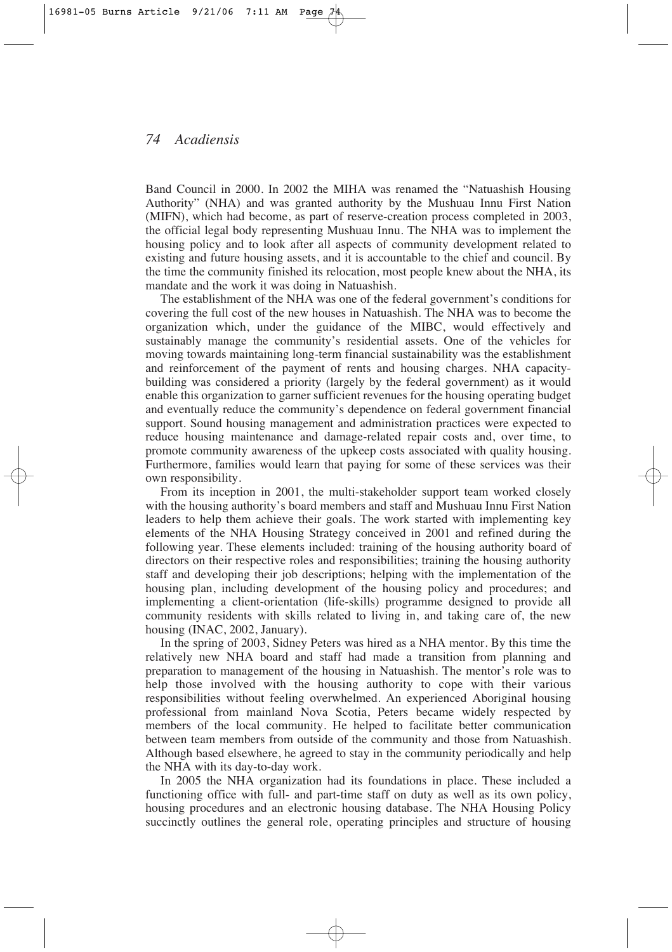Band Council in 2000. In 2002 the MIHA was renamed the "Natuashish Housing Authority" (NHA) and was granted authority by the Mushuau Innu First Nation (MIFN), which had become, as part of reserve-creation process completed in 2003, the official legal body representing Mushuau Innu. The NHA was to implement the housing policy and to look after all aspects of community development related to existing and future housing assets, and it is accountable to the chief and council. By the time the community finished its relocation, most people knew about the NHA, its mandate and the work it was doing in Natuashish.

The establishment of the NHA was one of the federal government's conditions for covering the full cost of the new houses in Natuashish. The NHA was to become the organization which, under the guidance of the MIBC, would effectively and sustainably manage the community's residential assets. One of the vehicles for moving towards maintaining long-term financial sustainability was the establishment and reinforcement of the payment of rents and housing charges. NHA capacitybuilding was considered a priority (largely by the federal government) as it would enable this organization to garner sufficient revenues for the housing operating budget and eventually reduce the community's dependence on federal government financial support. Sound housing management and administration practices were expected to reduce housing maintenance and damage-related repair costs and, over time, to promote community awareness of the upkeep costs associated with quality housing. Furthermore, families would learn that paying for some of these services was their own responsibility.

From its inception in 2001, the multi-stakeholder support team worked closely with the housing authority's board members and staff and Mushuau Innu First Nation leaders to help them achieve their goals. The work started with implementing key elements of the NHA Housing Strategy conceived in 2001 and refined during the following year. These elements included: training of the housing authority board of directors on their respective roles and responsibilities; training the housing authority staff and developing their job descriptions; helping with the implementation of the housing plan, including development of the housing policy and procedures; and implementing a client-orientation (life-skills) programme designed to provide all community residents with skills related to living in, and taking care of, the new housing (INAC, 2002, January).

In the spring of 2003, Sidney Peters was hired as a NHA mentor. By this time the relatively new NHA board and staff had made a transition from planning and preparation to management of the housing in Natuashish. The mentor's role was to help those involved with the housing authority to cope with their various responsibilities without feeling overwhelmed. An experienced Aboriginal housing professional from mainland Nova Scotia, Peters became widely respected by members of the local community. He helped to facilitate better communication between team members from outside of the community and those from Natuashish. Although based elsewhere, he agreed to stay in the community periodically and help the NHA with its day-to-day work.

In 2005 the NHA organization had its foundations in place. These included a functioning office with full- and part-time staff on duty as well as its own policy, housing procedures and an electronic housing database. The NHA Housing Policy succinctly outlines the general role, operating principles and structure of housing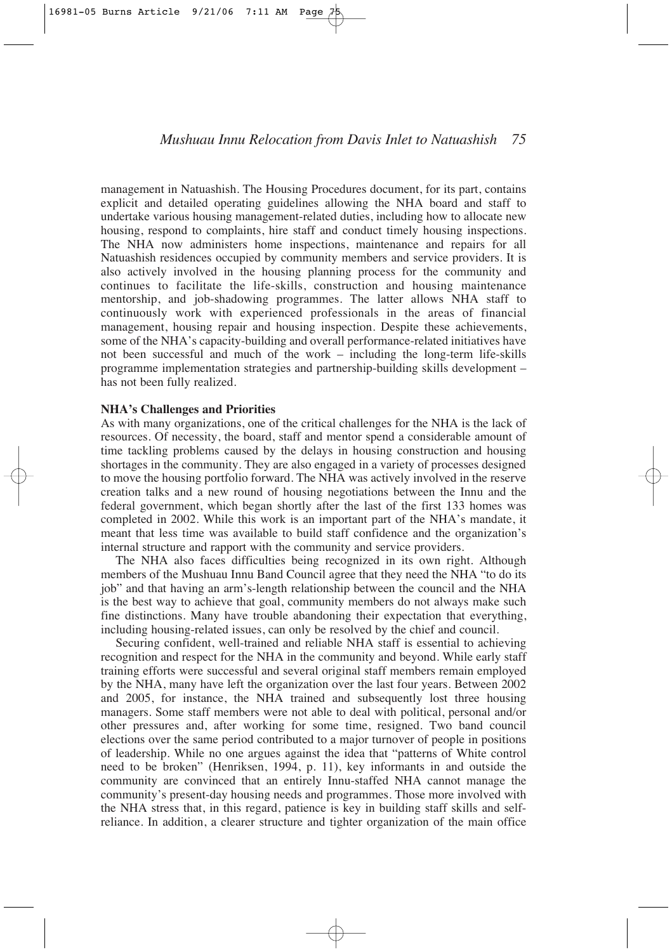management in Natuashish. The Housing Procedures document, for its part, contains explicit and detailed operating guidelines allowing the NHA board and staff to undertake various housing management-related duties, including how to allocate new housing, respond to complaints, hire staff and conduct timely housing inspections. The NHA now administers home inspections, maintenance and repairs for all Natuashish residences occupied by community members and service providers. It is also actively involved in the housing planning process for the community and continues to facilitate the life-skills, construction and housing maintenance mentorship, and job-shadowing programmes. The latter allows NHA staff to continuously work with experienced professionals in the areas of financial management, housing repair and housing inspection. Despite these achievements, some of the NHA's capacity-building and overall performance-related initiatives have not been successful and much of the work – including the long-term life-skills programme implementation strategies and partnership-building skills development – has not been fully realized.

#### **NHA's Challenges and Priorities**

As with many organizations, one of the critical challenges for the NHA is the lack of resources. Of necessity, the board, staff and mentor spend a considerable amount of time tackling problems caused by the delays in housing construction and housing shortages in the community. They are also engaged in a variety of processes designed to move the housing portfolio forward. The NHA was actively involved in the reserve creation talks and a new round of housing negotiations between the Innu and the federal government, which began shortly after the last of the first 133 homes was completed in 2002. While this work is an important part of the NHA's mandate, it meant that less time was available to build staff confidence and the organization's internal structure and rapport with the community and service providers.

The NHA also faces difficulties being recognized in its own right. Although members of the Mushuau Innu Band Council agree that they need the NHA "to do its job" and that having an arm's-length relationship between the council and the NHA is the best way to achieve that goal, community members do not always make such fine distinctions. Many have trouble abandoning their expectation that everything, including housing-related issues, can only be resolved by the chief and council.

Securing confident, well-trained and reliable NHA staff is essential to achieving recognition and respect for the NHA in the community and beyond. While early staff training efforts were successful and several original staff members remain employed by the NHA, many have left the organization over the last four years. Between 2002 and 2005, for instance, the NHA trained and subsequently lost three housing managers. Some staff members were not able to deal with political, personal and/or other pressures and, after working for some time, resigned. Two band council elections over the same period contributed to a major turnover of people in positions of leadership. While no one argues against the idea that "patterns of White control need to be broken" (Henriksen, 1994, p. 11), key informants in and outside the community are convinced that an entirely Innu-staffed NHA cannot manage the community's present-day housing needs and programmes. Those more involved with the NHA stress that, in this regard, patience is key in building staff skills and selfreliance. In addition, a clearer structure and tighter organization of the main office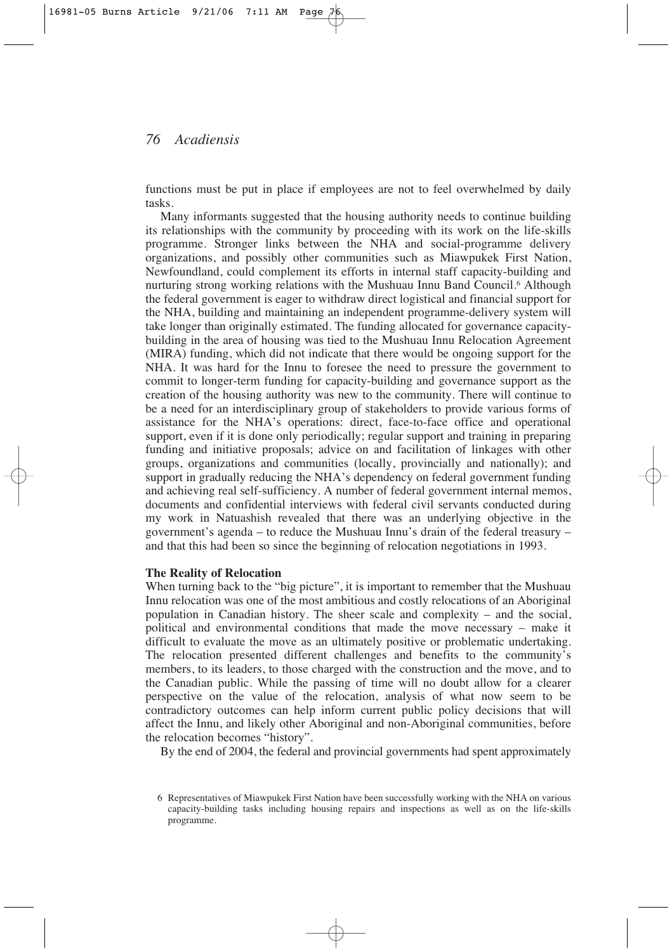functions must be put in place if employees are not to feel overwhelmed by daily tasks.

Many informants suggested that the housing authority needs to continue building its relationships with the community by proceeding with its work on the life-skills programme. Stronger links between the NHA and social-programme delivery organizations, and possibly other communities such as Miawpukek First Nation, Newfoundland, could complement its efforts in internal staff capacity-building and nurturing strong working relations with the Mushuau Innu Band Council.6 Although the federal government is eager to withdraw direct logistical and financial support for the NHA, building and maintaining an independent programme-delivery system will take longer than originally estimated. The funding allocated for governance capacitybuilding in the area of housing was tied to the Mushuau Innu Relocation Agreement (MIRA) funding, which did not indicate that there would be ongoing support for the NHA. It was hard for the Innu to foresee the need to pressure the government to commit to longer-term funding for capacity-building and governance support as the creation of the housing authority was new to the community. There will continue to be a need for an interdisciplinary group of stakeholders to provide various forms of assistance for the NHA's operations: direct, face-to-face office and operational support, even if it is done only periodically; regular support and training in preparing funding and initiative proposals; advice on and facilitation of linkages with other groups, organizations and communities (locally, provincially and nationally); and support in gradually reducing the NHA's dependency on federal government funding and achieving real self-sufficiency. A number of federal government internal memos, documents and confidential interviews with federal civil servants conducted during my work in Natuashish revealed that there was an underlying objective in the government's agenda – to reduce the Mushuau Innu's drain of the federal treasury – and that this had been so since the beginning of relocation negotiations in 1993.

#### **The Reality of Relocation**

When turning back to the "big picture", it is important to remember that the Mushuau Innu relocation was one of the most ambitious and costly relocations of an Aboriginal population in Canadian history. The sheer scale and complexity – and the social, political and environmental conditions that made the move necessary – make it difficult to evaluate the move as an ultimately positive or problematic undertaking. The relocation presented different challenges and benefits to the community's members, to its leaders, to those charged with the construction and the move, and to the Canadian public. While the passing of time will no doubt allow for a clearer perspective on the value of the relocation, analysis of what now seem to be contradictory outcomes can help inform current public policy decisions that will affect the Innu, and likely other Aboriginal and non-Aboriginal communities, before the relocation becomes "history".

By the end of 2004, the federal and provincial governments had spent approximately

<sup>6</sup> Representatives of Miawpukek First Nation have been successfully working with the NHA on various capacity-building tasks including housing repairs and inspections as well as on the life-skills programme.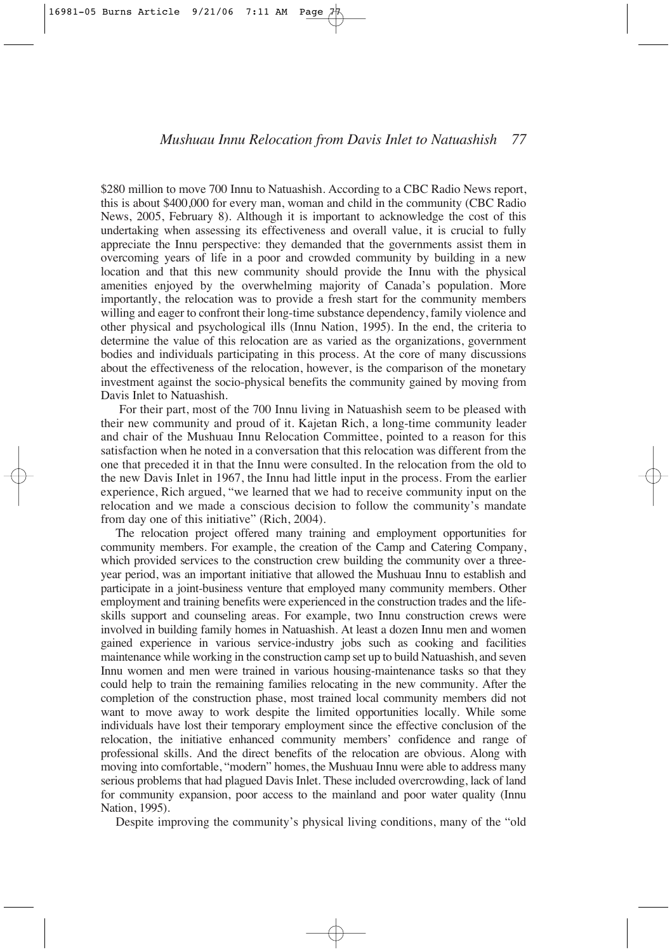\$280 million to move 700 Innu to Natuashish. According to a CBC Radio News report, this is about \$400,000 for every man, woman and child in the community (CBC Radio News, 2005, February 8). Although it is important to acknowledge the cost of this undertaking when assessing its effectiveness and overall value, it is crucial to fully appreciate the Innu perspective: they demanded that the governments assist them in overcoming years of life in a poor and crowded community by building in a new location and that this new community should provide the Innu with the physical amenities enjoyed by the overwhelming majority of Canada's population. More importantly, the relocation was to provide a fresh start for the community members willing and eager to confront their long-time substance dependency, family violence and other physical and psychological ills (Innu Nation, 1995). In the end, the criteria to determine the value of this relocation are as varied as the organizations, government bodies and individuals participating in this process. At the core of many discussions about the effectiveness of the relocation, however, is the comparison of the monetary investment against the socio-physical benefits the community gained by moving from Davis Inlet to Natuashish.

For their part, most of the 700 Innu living in Natuashish seem to be pleased with their new community and proud of it. Kajetan Rich, a long-time community leader and chair of the Mushuau Innu Relocation Committee, pointed to a reason for this satisfaction when he noted in a conversation that this relocation was different from the one that preceded it in that the Innu were consulted. In the relocation from the old to the new Davis Inlet in 1967, the Innu had little input in the process. From the earlier experience, Rich argued, "we learned that we had to receive community input on the relocation and we made a conscious decision to follow the community's mandate from day one of this initiative" (Rich, 2004).

The relocation project offered many training and employment opportunities for community members. For example, the creation of the Camp and Catering Company, which provided services to the construction crew building the community over a threeyear period, was an important initiative that allowed the Mushuau Innu to establish and participate in a joint-business venture that employed many community members. Other employment and training benefits were experienced in the construction trades and the lifeskills support and counseling areas. For example, two Innu construction crews were involved in building family homes in Natuashish. At least a dozen Innu men and women gained experience in various service-industry jobs such as cooking and facilities maintenance while working in the construction camp set up to build Natuashish, and seven Innu women and men were trained in various housing-maintenance tasks so that they could help to train the remaining families relocating in the new community. After the completion of the construction phase, most trained local community members did not want to move away to work despite the limited opportunities locally. While some individuals have lost their temporary employment since the effective conclusion of the relocation, the initiative enhanced community members' confidence and range of professional skills. And the direct benefits of the relocation are obvious. Along with moving into comfortable, "modern" homes, the Mushuau Innu were able to address many serious problems that had plagued Davis Inlet. These included overcrowding, lack of land for community expansion, poor access to the mainland and poor water quality (Innu Nation, 1995).

Despite improving the community's physical living conditions, many of the "old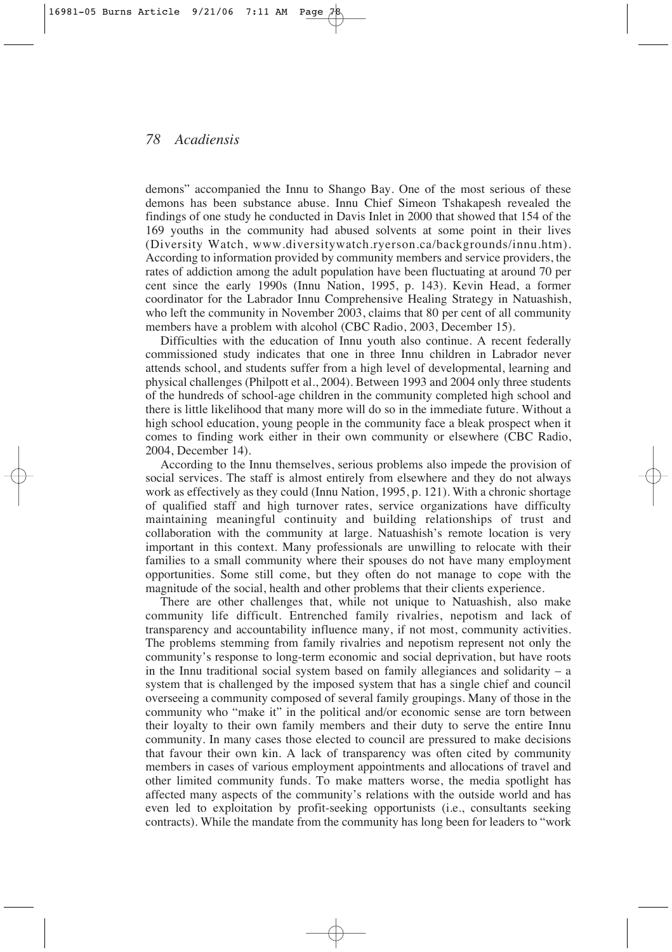demons" accompanied the Innu to Shango Bay. One of the most serious of these demons has been substance abuse. Innu Chief Simeon Tshakapesh revealed the findings of one study he conducted in Davis Inlet in 2000 that showed that 154 of the 169 youths in the community had abused solvents at some point in their lives (Diversity Watch, www.diversitywatch.ryerson.ca/backgrounds/innu.htm). According to information provided by community members and service providers, the rates of addiction among the adult population have been fluctuating at around 70 per cent since the early 1990s (Innu Nation, 1995, p. 143). Kevin Head, a former coordinator for the Labrador Innu Comprehensive Healing Strategy in Natuashish, who left the community in November 2003, claims that 80 per cent of all community members have a problem with alcohol (CBC Radio, 2003, December 15).

Difficulties with the education of Innu youth also continue. A recent federally commissioned study indicates that one in three Innu children in Labrador never attends school, and students suffer from a high level of developmental, learning and physical challenges (Philpott et al., 2004). Between 1993 and 2004 only three students of the hundreds of school-age children in the community completed high school and there is little likelihood that many more will do so in the immediate future. Without a high school education, young people in the community face a bleak prospect when it comes to finding work either in their own community or elsewhere (CBC Radio, 2004, December 14).

According to the Innu themselves, serious problems also impede the provision of social services. The staff is almost entirely from elsewhere and they do not always work as effectively as they could (Innu Nation, 1995, p. 121). With a chronic shortage of qualified staff and high turnover rates, service organizations have difficulty maintaining meaningful continuity and building relationships of trust and collaboration with the community at large. Natuashish's remote location is very important in this context. Many professionals are unwilling to relocate with their families to a small community where their spouses do not have many employment opportunities. Some still come, but they often do not manage to cope with the magnitude of the social, health and other problems that their clients experience.

There are other challenges that, while not unique to Natuashish, also make community life difficult. Entrenched family rivalries, nepotism and lack of transparency and accountability influence many, if not most, community activities. The problems stemming from family rivalries and nepotism represent not only the community's response to long-term economic and social deprivation, but have roots in the Innu traditional social system based on family allegiances and solidarity  $-$  a system that is challenged by the imposed system that has a single chief and council overseeing a community composed of several family groupings. Many of those in the community who "make it" in the political and/or economic sense are torn between their loyalty to their own family members and their duty to serve the entire Innu community. In many cases those elected to council are pressured to make decisions that favour their own kin. A lack of transparency was often cited by community members in cases of various employment appointments and allocations of travel and other limited community funds. To make matters worse, the media spotlight has affected many aspects of the community's relations with the outside world and has even led to exploitation by profit-seeking opportunists (i.e., consultants seeking contracts). While the mandate from the community has long been for leaders to "work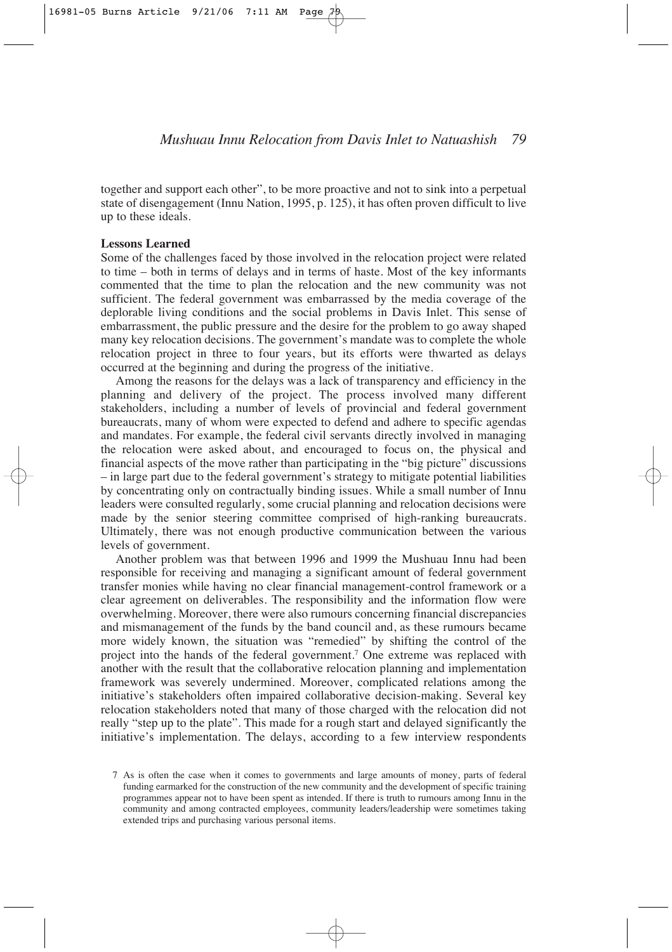together and support each other", to be more proactive and not to sink into a perpetual state of disengagement (Innu Nation, 1995, p. 125), it has often proven difficult to live up to these ideals.

#### **Lessons Learned**

Some of the challenges faced by those involved in the relocation project were related to time – both in terms of delays and in terms of haste. Most of the key informants commented that the time to plan the relocation and the new community was not sufficient. The federal government was embarrassed by the media coverage of the deplorable living conditions and the social problems in Davis Inlet. This sense of embarrassment, the public pressure and the desire for the problem to go away shaped many key relocation decisions. The government's mandate was to complete the whole relocation project in three to four years, but its efforts were thwarted as delays occurred at the beginning and during the progress of the initiative.

Among the reasons for the delays was a lack of transparency and efficiency in the planning and delivery of the project. The process involved many different stakeholders, including a number of levels of provincial and federal government bureaucrats, many of whom were expected to defend and adhere to specific agendas and mandates. For example, the federal civil servants directly involved in managing the relocation were asked about, and encouraged to focus on, the physical and financial aspects of the move rather than participating in the "big picture" discussions – in large part due to the federal government's strategy to mitigate potential liabilities by concentrating only on contractually binding issues. While a small number of Innu leaders were consulted regularly, some crucial planning and relocation decisions were made by the senior steering committee comprised of high-ranking bureaucrats. Ultimately, there was not enough productive communication between the various levels of government.

Another problem was that between 1996 and 1999 the Mushuau Innu had been responsible for receiving and managing a significant amount of federal government transfer monies while having no clear financial management-control framework or a clear agreement on deliverables. The responsibility and the information flow were overwhelming. Moreover, there were also rumours concerning financial discrepancies and mismanagement of the funds by the band council and, as these rumours became more widely known, the situation was "remedied" by shifting the control of the project into the hands of the federal government.7 One extreme was replaced with another with the result that the collaborative relocation planning and implementation framework was severely undermined. Moreover, complicated relations among the initiative's stakeholders often impaired collaborative decision-making. Several key relocation stakeholders noted that many of those charged with the relocation did not really "step up to the plate". This made for a rough start and delayed significantly the initiative's implementation. The delays, according to a few interview respondents

<sup>7</sup> As is often the case when it comes to governments and large amounts of money, parts of federal funding earmarked for the construction of the new community and the development of specific training programmes appear not to have been spent as intended. If there is truth to rumours among Innu in the community and among contracted employees, community leaders/leadership were sometimes taking extended trips and purchasing various personal items.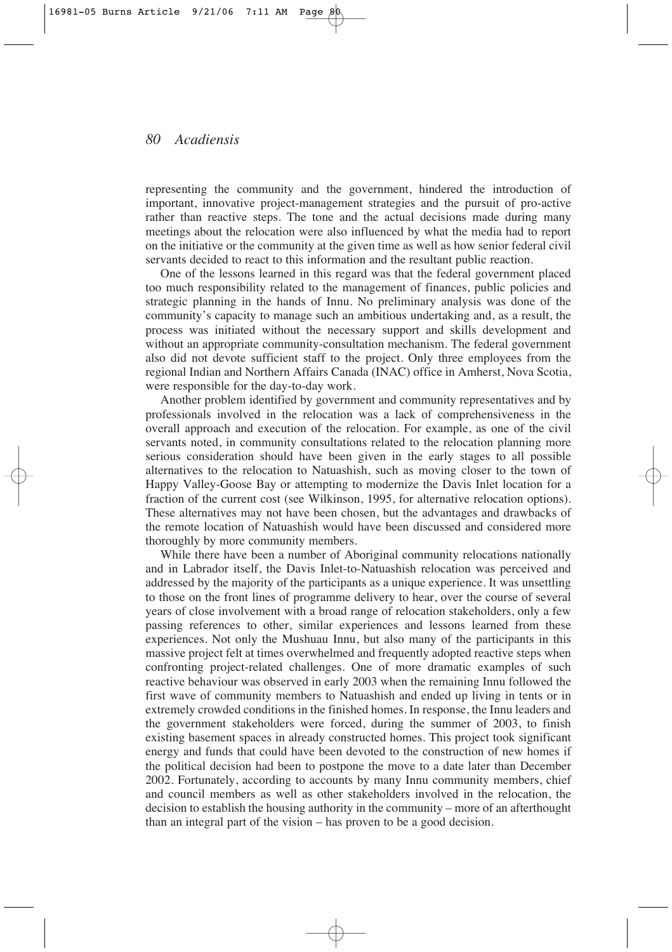representing the community and the government, hindered the introduction of important, innovative project-management strategies and the pursuit of pro-active rather than reactive steps. The tone and the actual decisions made during many meetings about the relocation were also influenced by what the media had to report on the initiative or the community at the given time as well as how senior federal civil servants decided to react to this information and the resultant public reaction.

One of the lessons learned in this regard was that the federal government placed too much responsibility related to the management of finances, public policies and strategic planning in the hands of Innu. No preliminary analysis was done of the community's capacity to manage such an ambitious undertaking and, as a result, the process was initiated without the necessary support and skills development and without an appropriate community-consultation mechanism. The federal government also did not devote sufficient staff to the project. Only three employees from the regional Indian and Northern Affairs Canada (INAC) office in Amherst, Nova Scotia, were responsible for the day-to-day work.

Another problem identified by government and community representatives and by professionals involved in the relocation was a lack of comprehensiveness in the overall approach and execution of the relocation. For example, as one of the civil servants noted, in community consultations related to the relocation planning more serious consideration should have been given in the early stages to all possible alternatives to the relocation to Natuashish, such as moving closer to the town of Happy Valley-Goose Bay or attempting to modernize the Davis Inlet location for a fraction of the current cost (see Wilkinson, 1995, for alternative relocation options). These alternatives may not have been chosen, but the advantages and drawbacks of the remote location of Natuashish would have been discussed and considered more thoroughly by more community members.

While there have been a number of Aboriginal community relocations nationally and in Labrador itself, the Davis Inlet-to-Natuashish relocation was perceived and addressed by the majority of the participants as a unique experience. It was unsettling to those on the front lines of programme delivery to hear, over the course of several years of close involvement with a broad range of relocation stakeholders, only a few passing references to other, similar experiences and lessons learned from these experiences. Not only the Mushuau Innu, but also many of the participants in this massive project felt at times overwhelmed and frequently adopted reactive steps when confronting project-related challenges. One of more dramatic examples of such reactive behaviour was observed in early 2003 when the remaining Innu followed the first wave of community members to Natuashish and ended up living in tents or in extremely crowded conditions in the finished homes. In response, the Innu leaders and the government stakeholders were forced, during the summer of 2003, to finish existing basement spaces in already constructed homes. This project took significant energy and funds that could have been devoted to the construction of new homes if the political decision had been to postpone the move to a date later than December 2002. Fortunately, according to accounts by many Innu community members, chief and council members as well as other stakeholders involved in the relocation, the decision to establish the housing authority in the community – more of an afterthought than an integral part of the vision – has proven to be a good decision.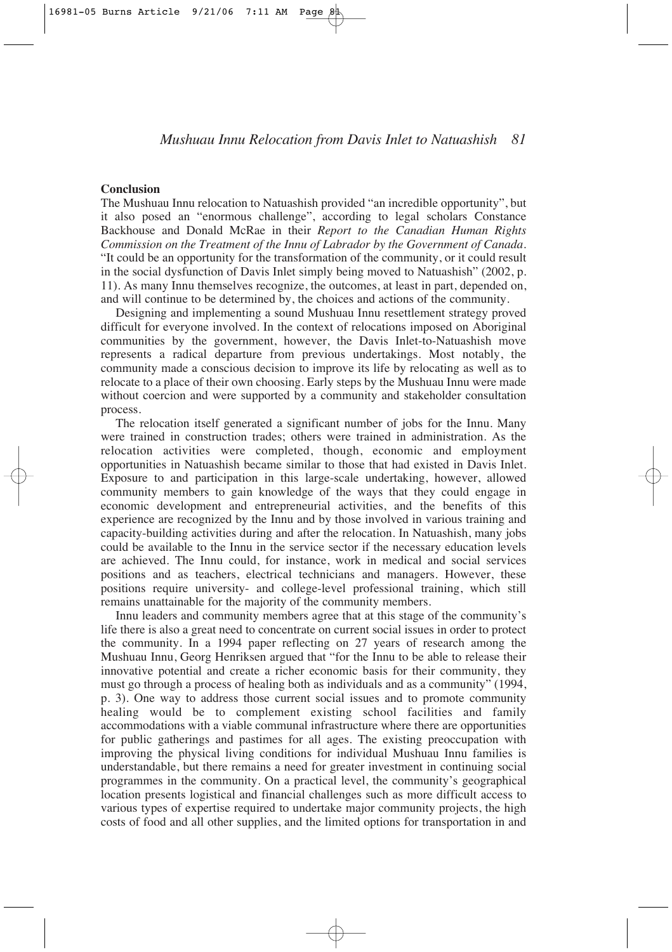#### **Conclusion**

The Mushuau Innu relocation to Natuashish provided "an incredible opportunity", but it also posed an "enormous challenge", according to legal scholars Constance Backhouse and Donald McRae in their *Report to the Canadian Human Rights Commission on the Treatment of the Innu of Labrador by the Government of Canada.* "It could be an opportunity for the transformation of the community, or it could result in the social dysfunction of Davis Inlet simply being moved to Natuashish" (2002, p. 11). As many Innu themselves recognize, the outcomes, at least in part, depended on, and will continue to be determined by, the choices and actions of the community.

Designing and implementing a sound Mushuau Innu resettlement strategy proved difficult for everyone involved. In the context of relocations imposed on Aboriginal communities by the government, however, the Davis Inlet-to-Natuashish move represents a radical departure from previous undertakings. Most notably, the community made a conscious decision to improve its life by relocating as well as to relocate to a place of their own choosing. Early steps by the Mushuau Innu were made without coercion and were supported by a community and stakeholder consultation process.

The relocation itself generated a significant number of jobs for the Innu. Many were trained in construction trades; others were trained in administration. As the relocation activities were completed, though, economic and employment opportunities in Natuashish became similar to those that had existed in Davis Inlet. Exposure to and participation in this large-scale undertaking, however, allowed community members to gain knowledge of the ways that they could engage in economic development and entrepreneurial activities, and the benefits of this experience are recognized by the Innu and by those involved in various training and capacity-building activities during and after the relocation. In Natuashish, many jobs could be available to the Innu in the service sector if the necessary education levels are achieved. The Innu could, for instance, work in medical and social services positions and as teachers, electrical technicians and managers. However, these positions require university- and college-level professional training, which still remains unattainable for the majority of the community members.

Innu leaders and community members agree that at this stage of the community's life there is also a great need to concentrate on current social issues in order to protect the community. In a 1994 paper reflecting on 27 years of research among the Mushuau Innu, Georg Henriksen argued that "for the Innu to be able to release their innovative potential and create a richer economic basis for their community, they must go through a process of healing both as individuals and as a community" (1994, p. 3). One way to address those current social issues and to promote community healing would be to complement existing school facilities and family accommodations with a viable communal infrastructure where there are opportunities for public gatherings and pastimes for all ages. The existing preoccupation with improving the physical living conditions for individual Mushuau Innu families is understandable, but there remains a need for greater investment in continuing social programmes in the community. On a practical level, the community's geographical location presents logistical and financial challenges such as more difficult access to various types of expertise required to undertake major community projects, the high costs of food and all other supplies, and the limited options for transportation in and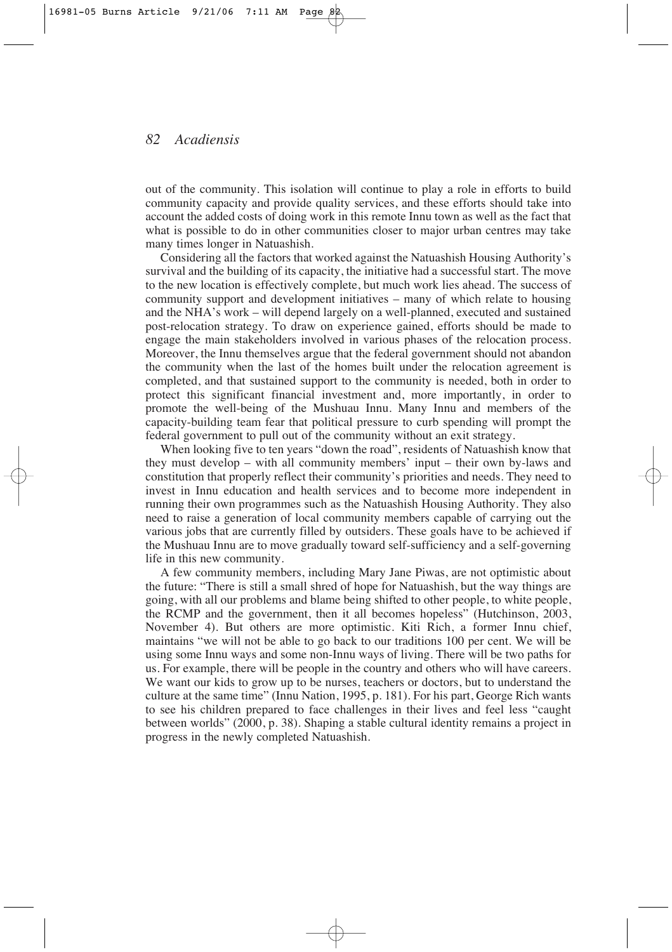out of the community. This isolation will continue to play a role in efforts to build community capacity and provide quality services, and these efforts should take into account the added costs of doing work in this remote Innu town as well as the fact that what is possible to do in other communities closer to major urban centres may take many times longer in Natuashish.

Considering all the factors that worked against the Natuashish Housing Authority's survival and the building of its capacity, the initiative had a successful start. The move to the new location is effectively complete, but much work lies ahead. The success of community support and development initiatives – many of which relate to housing and the NHA's work – will depend largely on a well-planned, executed and sustained post-relocation strategy. To draw on experience gained, efforts should be made to engage the main stakeholders involved in various phases of the relocation process. Moreover, the Innu themselves argue that the federal government should not abandon the community when the last of the homes built under the relocation agreement is completed, and that sustained support to the community is needed, both in order to protect this significant financial investment and, more importantly, in order to promote the well-being of the Mushuau Innu. Many Innu and members of the capacity-building team fear that political pressure to curb spending will prompt the federal government to pull out of the community without an exit strategy.

When looking five to ten years "down the road", residents of Natuashish know that they must develop – with all community members' input – their own by-laws and constitution that properly reflect their community's priorities and needs. They need to invest in Innu education and health services and to become more independent in running their own programmes such as the Natuashish Housing Authority. They also need to raise a generation of local community members capable of carrying out the various jobs that are currently filled by outsiders. These goals have to be achieved if the Mushuau Innu are to move gradually toward self-sufficiency and a self-governing life in this new community.

A few community members, including Mary Jane Piwas, are not optimistic about the future: "There is still a small shred of hope for Natuashish, but the way things are going, with all our problems and blame being shifted to other people, to white people, the RCMP and the government, then it all becomes hopeless" (Hutchinson, 2003, November 4). But others are more optimistic. Kiti Rich, a former Innu chief, maintains "we will not be able to go back to our traditions 100 per cent. We will be using some Innu ways and some non-Innu ways of living. There will be two paths for us. For example, there will be people in the country and others who will have careers. We want our kids to grow up to be nurses, teachers or doctors, but to understand the culture at the same time" (Innu Nation, 1995, p. 181). For his part, George Rich wants to see his children prepared to face challenges in their lives and feel less "caught between worlds" (2000, p. 38). Shaping a stable cultural identity remains a project in progress in the newly completed Natuashish.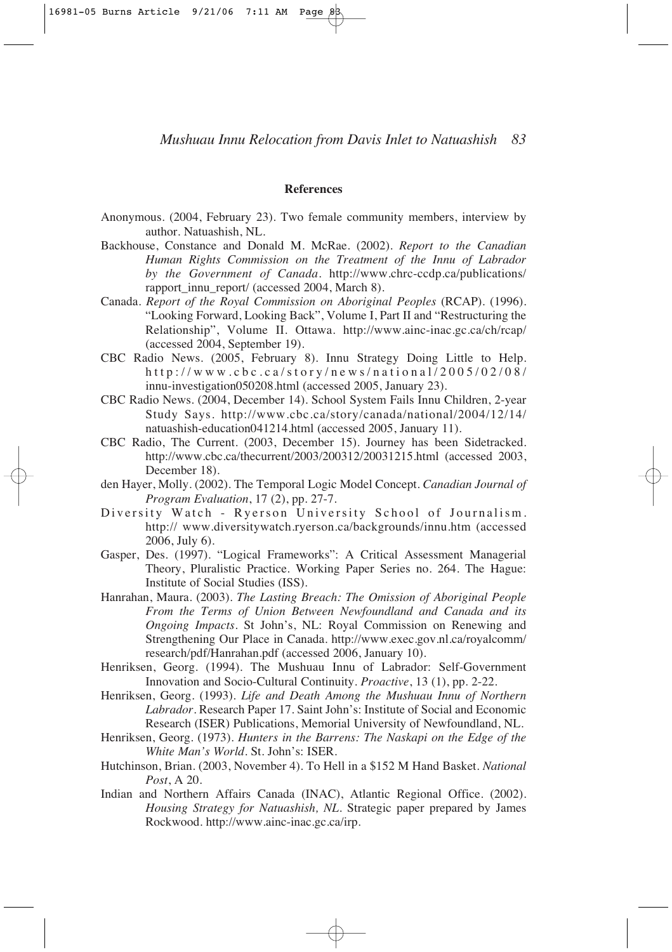#### **References**

- Anonymous. (2004, February 23). Two female community members, interview by author. Natuashish, NL.
- Backhouse, Constance and Donald M. McRae. (2002). *Report to the Canadian Human Rights Commission on the Treatment of the Innu of Labrador by the Government of Canada*. http://www.chrc-ccdp.ca/publications/ rapport\_innu\_report/ (accessed 2004, March 8).
- Canada. *Report of the Royal Commission on Aboriginal Peoples* (RCAP). (1996). "Looking Forward, Looking Back", Volume I, Part II and "Restructuring the Relationship", Volume II. Ottawa. http://www.ainc-inac.gc.ca/ch/rcap/ (accessed 2004, September 19).
- CBC Radio News. (2005, February 8). Innu Strategy Doing Little to Help. http://www.cbc.ca/story/news/national/2005/02/08/ innu-investigation050208.html (accessed 2005, January 23).
- CBC Radio News. (2004, December 14). School System Fails Innu Children, 2-year Study Says. http://www.cbc.ca/story/canada/national/2004/12/14/ natuashish-education041214.html (accessed 2005, January 11).
- CBC Radio, The Current. (2003, December 15). Journey has been Sidetracked. http://www.cbc.ca/thecurrent/2003/200312/20031215.html (accessed 2003, December 18).
- den Hayer, Molly. (2002). The Temporal Logic Model Concept. *Canadian Journal of Program Evaluation*, 17 (2), pp. 27-7.
- Diversity Watch Ryerson University School of Journalism. http:// www.diversitywatch.ryerson.ca/backgrounds/innu.htm (accessed 2006, July 6).
- Gasper, Des. (1997). "Logical Frameworks": A Critical Assessment Managerial Theory, Pluralistic Practice. Working Paper Series no. 264. The Hague: Institute of Social Studies (ISS).
- Hanrahan, Maura. (2003). *The Lasting Breach: The Omission of Aboriginal People From the Terms of Union Between Newfoundland and Canada and its Ongoing Impacts.* St John's, NL: Royal Commission on Renewing and Strengthening Our Place in Canada. http://www.exec.gov.nl.ca/royalcomm/ research/pdf/Hanrahan.pdf (accessed 2006, January 10).
- Henriksen, Georg. (1994). The Mushuau Innu of Labrador: Self-Government Innovation and Socio-Cultural Continuity. *Proactive*, 13 (1), pp. 2-22.
- Henriksen, Georg. (1993). *Life and Death Among the Mushuau Innu of Northern Labrador*. Research Paper 17. Saint John's: Institute of Social and Economic Research (ISER) Publications, Memorial University of Newfoundland, NL.
- Henriksen, Georg. (1973). *Hunters in the Barrens: The Naskapi on the Edge of the White Man's World.* St. John's: ISER.
- Hutchinson, Brian. (2003, November 4). To Hell in a \$152 M Hand Basket*. National Post*, A 20.
- Indian and Northern Affairs Canada (INAC), Atlantic Regional Office. (2002). *Housing Strategy for Natuashish, NL.* Strategic paper prepared by James Rockwood. http://www.ainc-inac.gc.ca/irp.